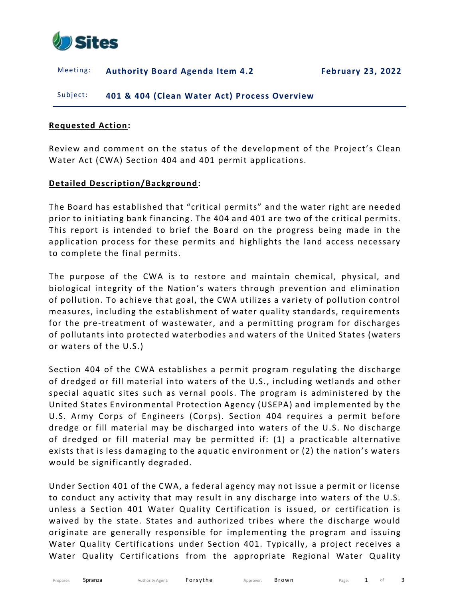

#### Meeting: **Authority Board Agenda Item 4.2 February 23, 2022**

Subject: **401 & 404 (Clean Water Act) Process Overview**

### **Requested Action:**

Review and comment on the status of the development of the Project's Clean Water Act (CWA) Section 404 and 401 permit applications.

### **Detailed Description/Background:**

The Board has established that "critical permits" and the water right are needed prior to initiating bank financing . The 404 and 401 are two of the critical permits. This report is intended to brief the Board on the progress being made in the application process for these permits and highlights the land access necessary to complete the final permits.

The purpose of the CWA is to restore and maintain chemical, physical, and biological integrity of the Nation's waters through prevention and elimination of pollution. To achieve that goal, the CWA utilizes a variety of pollution control measures, including the establishment of water quality standards, requirements for the pre-treatment of wastewater, and a permitting program for discharges of pollutants into protected waterbodies and waters of the United States (waters or waters of the U.S.)

Section 404 of the CWA establishes a permit program regulating the discharge of dredged or fill material into waters of the U.S., including wetlands and other special aquatic sites such as vernal pools. The program is administered by the United States Environmental Protection Agency (USEPA) and implemented by the U.S. Army Corps of Engineers (Corps). Section 404 requires a permit before dredge or fill material may be discharged into waters of the U.S. No discharge of dredged or fill material may be permitted if: (1) a practicable alternative exists that is less damaging to the aquatic environment or (2) the nation's waters would be significantly degraded.

Under Section 401 of the CWA, a federal agency may not issue a permit or license to conduct any activity that may result in any discharge into waters of the U.S. unless a Section 401 Water Quality Certification is issued, or certification is waived by the state. States and authorized tribes where the discharge would originate are generally responsible for implementing the program and issuing Water Quality Certifications under Section 401. Typically, a project receives a Water Quality Certifications from the appropriate Regional Water Quality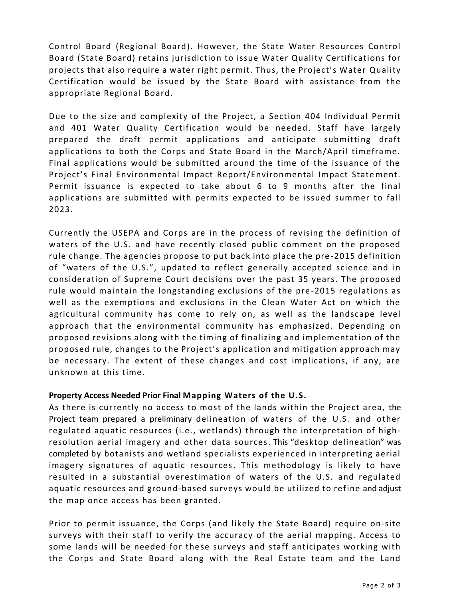Control Board (Regional Board). However, the State Water Resources Control Board (State Board) retains jurisdiction to issue Water Quality Certifications for projects that also require a water right permit. Thus, the Project's Water Quality Certification would be issued by the State Board with assistance from the appropriate Regional Board.

Due to the size and complexity of the Project, a Section 404 Individual Permit and 401 Water Quality Certification would be needed. Staff have largely prepared the draft permit applications and anticipate submitting draft applications to both the Corps and State Board in the March/April timeframe. Final applications would be submitted around the time of the issuance of the Project's Final Environmental Impact Report/Environmental Impact Statement. Permit issuance is expected to take about 6 to 9 months after the final applications are submitted with permits expected to be issued summer to fall 2023.

Currently the USEPA and Corps are in the process of revising the definition of waters of the U.S. and have recently closed public comment on the proposed rule change. The agencies propose to put back into place the pre -2015 definition of "waters of the U.S.", updated to reflect generally accepted science and in consideration of Supreme Court decisions over the past 35 years. The proposed rule would maintain the longstanding exclusions of the pre -2015 regulations as well as the exemptions and exclusions in the Clean Water Act on which the agricultural community has come to rely on, as well as the landscape level approach that the environmental community has emphasized. Depending on proposed revisions along with the timing of finalizing and implementation of the proposed rule, changes to the Project's application and mitigation approach may be necessary. The extent of these changes and cost implications, if any, are unknown at this time.

### **Property Access Needed Prior Final Mapping Waters of the U.S.**

As there is currently no access to most of the lands within the Project area, the Project team prepared a preliminary delineation of waters of the U.S. and other regulated aquatic resources (i.e., wetlands) through the interpretation of highresolution aerial imagery and other data sources. This "desktop delineation" was completed by botanists and wetland specialists experienced in interpreting aerial imagery signatures of aquatic resources. This methodology is likely to have resulted in a substantial overestimation of waters of the U.S. and regulated aquatic resources and ground-based surveys would be utilized to refine and adjust the map once access has been granted.

Prior to permit issuance, the Corps (and likely the State Board) require on-site surveys with their staff to verify the accuracy of the aerial mapping. Access to some lands will be needed for these surveys and staff anticipates working with the Corps and State Board along with the Real Estate team and the Land